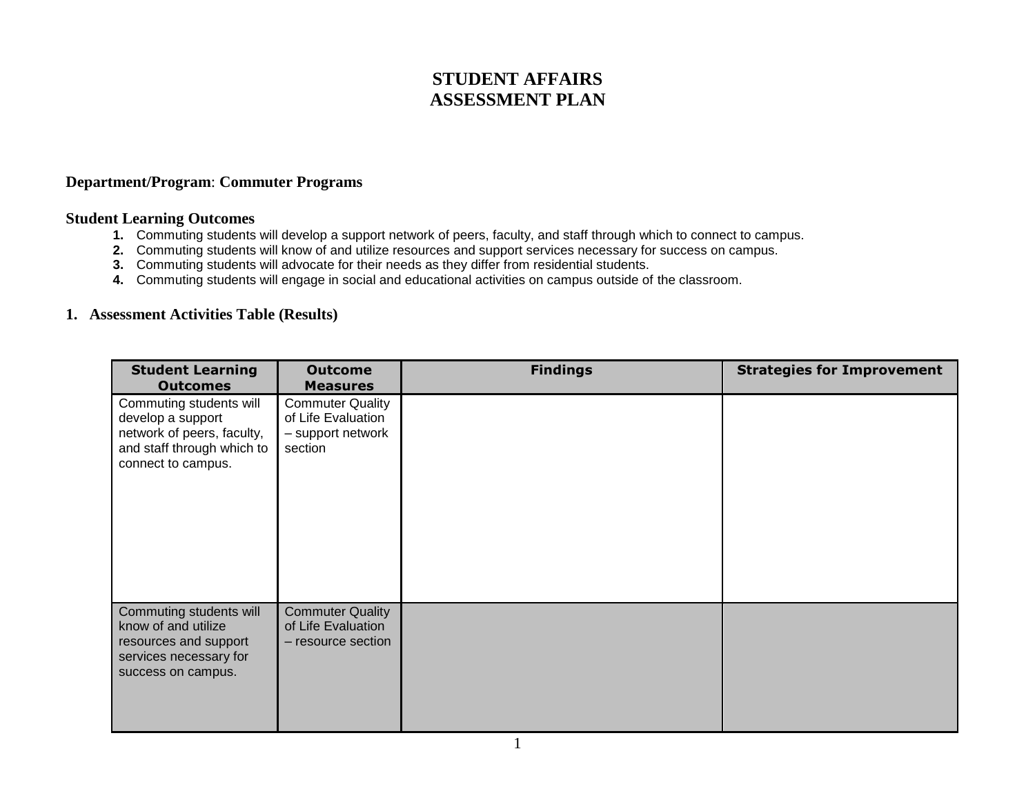## **STUDENT AFFAIRS ASSESSMENT PLAN**

## **Department/Program**: **Commuter Programs**

## **Student Learning Outcomes**

- **1.** Commuting students will develop a support network of peers, faculty, and staff through which to connect to campus.
- **2.** Commuting students will know of and utilize resources and support services necessary for success on campus.
- **3.** Commuting students will advocate for their needs as they differ from residential students.
- **4.** Commuting students will engage in social and educational activities on campus outside of the classroom.

## **1. Assessment Activities Table (Results)**

| <b>Student Learning</b>                                                                                                        | <b>Outcome</b>                                                                | <b>Findings</b> | <b>Strategies for Improvement</b> |
|--------------------------------------------------------------------------------------------------------------------------------|-------------------------------------------------------------------------------|-----------------|-----------------------------------|
| <b>Outcomes</b>                                                                                                                | <b>Measures</b>                                                               |                 |                                   |
| Commuting students will<br>develop a support<br>network of peers, faculty,<br>and staff through which to<br>connect to campus. | <b>Commuter Quality</b><br>of Life Evaluation<br>- support network<br>section |                 |                                   |
| Commuting students will<br>know of and utilize<br>resources and support<br>services necessary for<br>success on campus.        | <b>Commuter Quality</b><br>of Life Evaluation<br>- resource section           |                 |                                   |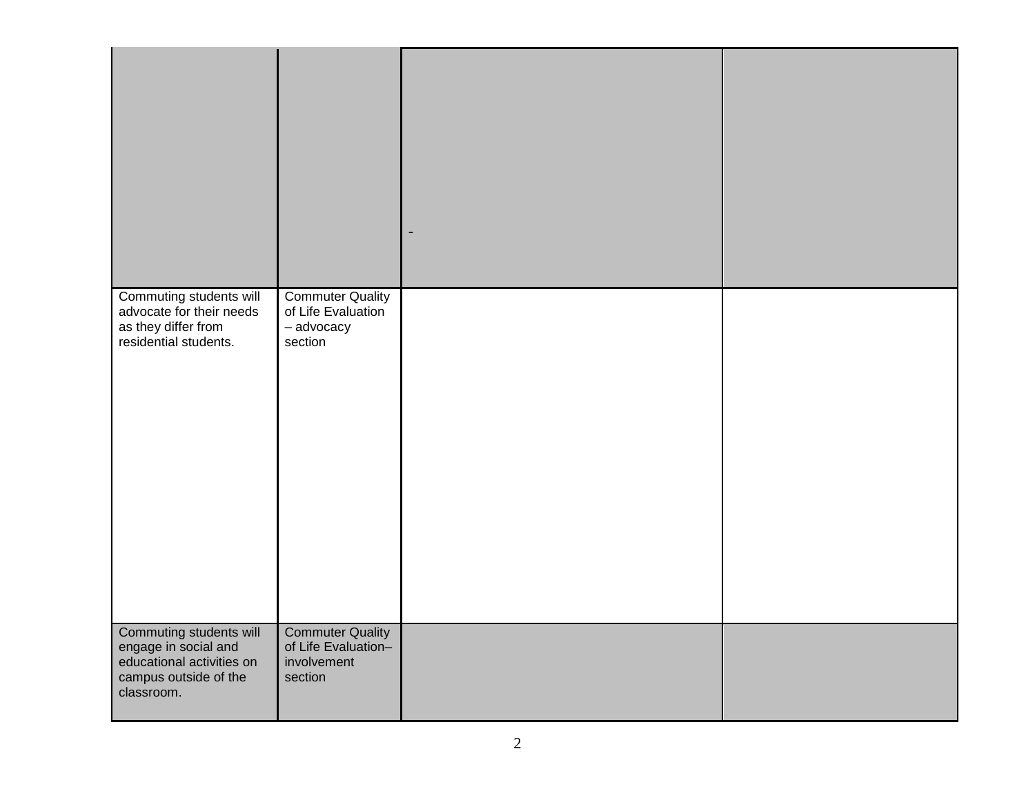| Commuting students will<br>advocate for their needs<br>as they differ from<br>residential students.                 | <b>Commuter Quality</b><br>of Life Evaluation<br>- advocacy<br>section   |  |
|---------------------------------------------------------------------------------------------------------------------|--------------------------------------------------------------------------|--|
| Commuting students will<br>engage in social and<br>educational activities on<br>campus outside of the<br>classroom. | <b>Commuter Quality</b><br>of Life Evaluation-<br>involvement<br>section |  |